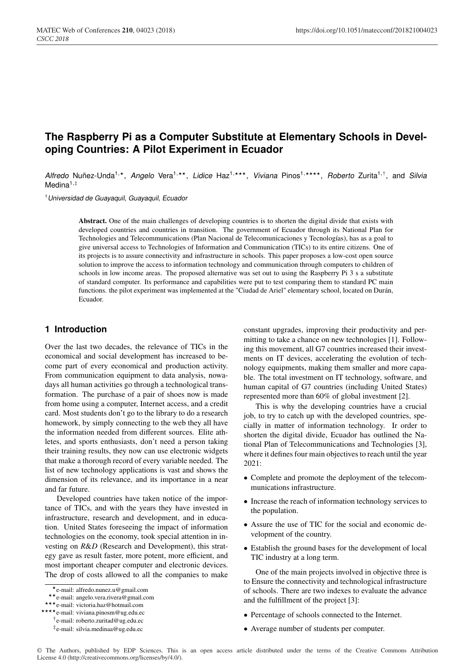# **The Raspberry Pi as a Computer Substitute at Elementary Schools in Developing Countries: A Pilot Experiment in Ecuador**

Alfredo Nuñez-Unda<sup>1,\*</sup>, Angelo Vera<sup>1,\*\*</sup>, Lidice Haz<sup>1,\*\*\*</sup>, Viviana Pinos<sup>1,\*\*\*\*</sup>, Roberto Zurita<sup>1,†</sup>, and *Silvia* Medina $1,$ #

<sup>1</sup>*Universidad de Guayaquil, Guayaquil, Ecuador*

Abstract. One of the main challenges of developing countries is to shorten the digital divide that exists with developed countries and countries in transition. The government of Ecuador through its National Plan for Technologies and Telecommunications (Plan Nacional de Telecomunicaciones y Tecnologías), has as a goal to give universal access to Technologies of Information and Communication (TICs) to its entire citizens. One of its projects is to assure connectivity and infrastructure in schools. This paper proposes a low-cost open source solution to improve the access to information technology and communication through computers to children of schools in low income areas. The proposed alternative was set out to using the Raspberry Pi 3 s a substitute of standard computer. Its performance and capabilities were put to test comparing them to standard PC main functions. the pilot experiment was implemented at the "Ciudad de Ariel" elementary school, located on Durán, Ecuador.

# **1 Introduction**

Over the last two decades, the relevance of TICs in the economical and social development has increased to become part of every economical and production activity. From communication equipment to data analysis, nowadays all human activities go through a technological transformation. The purchase of a pair of shoes now is made from home using a computer, Internet access, and a credit card. Most students don't go to the library to do a research homework, by simply connecting to the web they all have the information needed from different sources. Elite athletes, and sports enthusiasts, don't need a person taking their training results, they now can use electronic widgets that make a thorough record of every variable needed. The list of new technology applications is vast and shows the dimension of its relevance, and its importance in a near and far future.

Developed countries have taken notice of the importance of TICs, and with the years they have invested in infrastructure, research and development, and in education. United States foreseeing the impact of information technologies on the economy, took special attention in investing on *R*&*D* (Research and Development), this strategy gave as result faster, more potent, more efficient, and most important cheaper computer and electronic devices. The drop of costs allowed to all the companies to make constant upgrades, improving their productivity and permitting to take a chance on new technologies [1]. Following this movement, all G7 countries increased their investments on IT devices, accelerating the evolution of technology equipments, making them smaller and more capable. The total investment on IT technology, software, and human capital of G7 countries (including United States) represented more than 60% of global investment [2].

This is why the developing countries have a crucial job, to try to catch up with the developed countries, specially in matter of information technology. Ir order to shorten the digital divide, Ecuador has outlined the National Plan of Telecommunications and Technologies [3], where it defines four main objectives to reach until the year 2021:

- Complete and promote the deployment of the telecommunications infrastructure.
- Increase the reach of information technology services to the population.
- Assure the use of TIC for the social and economic development of the country.
- Establish the ground bases for the development of local TIC industry at a long term.

One of the main projects involved in objective three is to Ensure the connectivity and technological infrastructure of schools. There are two indexes to evaluate the advance and the fulfillment of the project [3]:

- Percentage of schools connected to the Internet.
- Average number of students per computer.

<sup>\*</sup>e-mail: alfredo.nunez.u@gmail.com<br>\*\*e-mail: angelo.vera.rivera@gmail.com<br>\*\*\*e-mail: victoria.haz@hotmail.com<br>\*\*\*\*e-mail: viviana.pinosm@ug.edu.ec

<sup>†</sup>e-mail: roberto.zuritad@ug.edu.ec

<sup>‡</sup>e-mail: silvia.medinaa@ug.edu.ec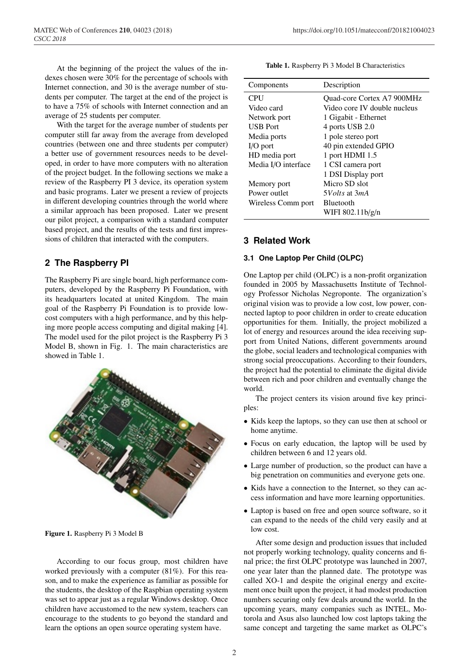At the beginning of the project the values of the indexes chosen were 30% for the percentage of schools with Internet connection, and 30 is the average number of students per computer. The target at the end of the project is to have a 75% of schools with Internet connection and an average of 25 students per computer.

With the target for the average number of students per computer still far away from the average from developed countries (between one and three students per computer) a better use of government resources needs to be developed, in order to have more computers with no alteration of the project budget. In the following sections we make a review of the Raspberry PI 3 device, its operation system and basic programs. Later we present a review of projects in different developing countries through the world where a similar approach has been proposed. Later we present our pilot project, a comparison with a standard computer based project, and the results of the tests and first impressions of children that interacted with the computers.

# **2 The Raspberry PI**

The Raspberry Pi are single board, high performance computers, developed by the Raspberry Pi Foundation, with its headquarters located at united Kingdom. The main goal of the Raspberry Pi Foundation is to provide lowcost computers with a high performance, and by this helping more people access computing and digital making [4]. The model used for the pilot project is the Raspberry Pi 3 Model B, shown in Fig. 1. The main characteristics are showed in Table 1.



Figure 1. Raspberry Pi 3 Model B

According to our focus group, most children have worked previously with a computer (81%). For this reason, and to make the experience as familiar as possible for the students, the desktop of the Raspbian operating system was set to appear just as a regular Windows desktop. Once children have accustomed to the new system, teachers can encourage to the students to go beyond the standard and learn the options an open source operating system have.

|  |  |  |  | <b>Table 1.</b> Raspberry Pi 3 Model B Characteristics |
|--|--|--|--|--------------------------------------------------------|
|--|--|--|--|--------------------------------------------------------|

| Components          | Description                       |  |
|---------------------|-----------------------------------|--|
| <b>CPU</b>          | <b>Ouad-core Cortex A7 900MHz</b> |  |
| Video card          | Video core IV double nucleus      |  |
| Network port        | 1 Gigabit - Ethernet              |  |
| <b>USB</b> Port     | 4 ports USB 2.0                   |  |
| Media ports         | 1 pole stereo port                |  |
| $I/O$ port          | 40 pin extended GPIO              |  |
| HD media port       | 1 port HDMI 1.5                   |  |
| Media I/O interface | 1 CSI camera port                 |  |
|                     | 1 DSI Display port                |  |
| Memory port         | Micro SD slot                     |  |
| Power outlet        | 5 <i>Volts</i> at 3 <i>mA</i>     |  |
| Wireless Comm port  | <b>Bluetooth</b>                  |  |
|                     | WIFI 802.11b/g/n                  |  |

### **3 Related Work**

#### **3.1 One Laptop Per Child (OLPC)**

One Laptop per child (OLPC) is a non-profit organization founded in 2005 by Massachusetts Institute of Technology Professor Nicholas Negroponte. The organization's original vision was to provide a low cost, low power, connected laptop to poor children in order to create education opportunities for them. Initially, the project mobilized a lot of energy and resources around the idea receiving support from United Nations, different governments around the globe, social leaders and technological companies with strong social preoccupations. According to their founders, the project had the potential to eliminate the digital divide between rich and poor children and eventually change the world.

The project centers its vision around five key principles:

- Kids keep the laptops, so they can use then at school or home anytime.
- Focus on early education, the laptop will be used by children between 6 and 12 years old.
- Large number of production, so the product can have a big penetration on communities and everyone gets one.
- Kids have a connection to the Internet, so they can access information and have more learning opportunities.
- Laptop is based on free and open source software, so it can expand to the needs of the child very easily and at low cost.

After some design and production issues that included not properly working technology, quality concerns and final price; the first OLPC prototype was launched in 2007, one year later than the planned date. The prototype was called XO-1 and despite the original energy and excitement once built upon the project, it had modest production numbers securing only few deals around the world. In the upcoming years, many companies such as INTEL, Motorola and Asus also launched low cost laptops taking the same concept and targeting the same market as OLPC's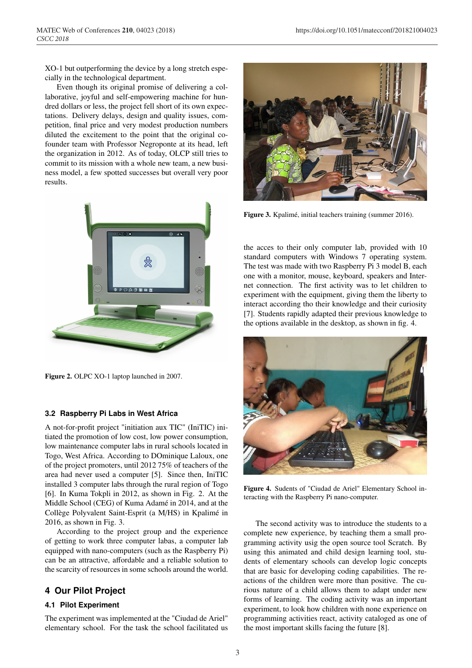XO-1 but outperforming the device by a long stretch especially in the technological department.

Even though its original promise of delivering a collaborative, joyful and self-empowering machine for hundred dollars or less, the project fell short of its own expectations. Delivery delays, design and quality issues, competition, final price and very modest production numbers diluted the excitement to the point that the original cofounder team with Professor Negroponte at its head, left the organization in 2012. As of today, OLCP still tries to commit to its mission with a whole new team, a new business model, a few spotted successes but overall very poor results.



Figure 2. OLPC XO-1 laptop launched in 2007.

#### **3.2 Raspberry Pi Labs in West Africa**

A not-for-profit project "initiation aux TIC" (IniTIC) initiated the promotion of low cost, low power consumption, low maintenance computer labs in rural schools located in Togo, West Africa. According to DOminique Laloux, one of the project promoters, until 2012 75% of teachers of the area had never used a computer [5]. Since then, IniTIC installed 3 computer labs through the rural region of Togo [6]. In Kuma Tokpli in 2012, as shown in Fig. 2. At the Middle School (CEG) of Kuma Adamé in 2014, and at the Collège Polyvalent Saint-Esprit (a M/HS) in Kpalimé in 2016, as shown in Fig. 3.

According to the project group and the experience of getting to work three computer labas, a computer lab equipped with nano-computers (such as the Raspberry Pi) can be an attractive, affordable and a reliable solution to the scarcity of resources in some schools around the world.

# **4 Our Pilot Project**

#### **4.1 Pilot Experiment**

The experiment was implemented at the "Ciudad de Ariel" elementary school. For the task the school facilitated us



Figure 3. Kpalimé, initial teachers training (summer 2016).

the acces to their only computer lab, provided with 10 standard computers with Windows 7 operating system. The test was made with two Raspberry Pi 3 model B, each one with a monitor, mouse, keyboard, speakers and Internet connection. The first activity was to let children to experiment with the equipment, giving them the liberty to interact according tho their knowledge and their curiosity [7]. Students rapidly adapted their previous knowledge to the options available in the desktop, as shown in fig. 4.



Figure 4. Sudents of "Ciudad de Ariel" Elementary School interacting with the Raspberry Pi nano-computer.

The second activity was to introduce the students to a complete new experience, by teaching them a small programming activity usig the open source tool Scratch. By using this animated and child design learning tool, students of elementary schools can develop logic concepts that are basic for developing coding capabilities. The reactions of the children were more than positive. The curious nature of a child allows them to adapt under new forms of learning. The coding activity was an important experiment, to look how children with none experience on programming activities react, activity cataloged as one of the most important skills facing the future [8].